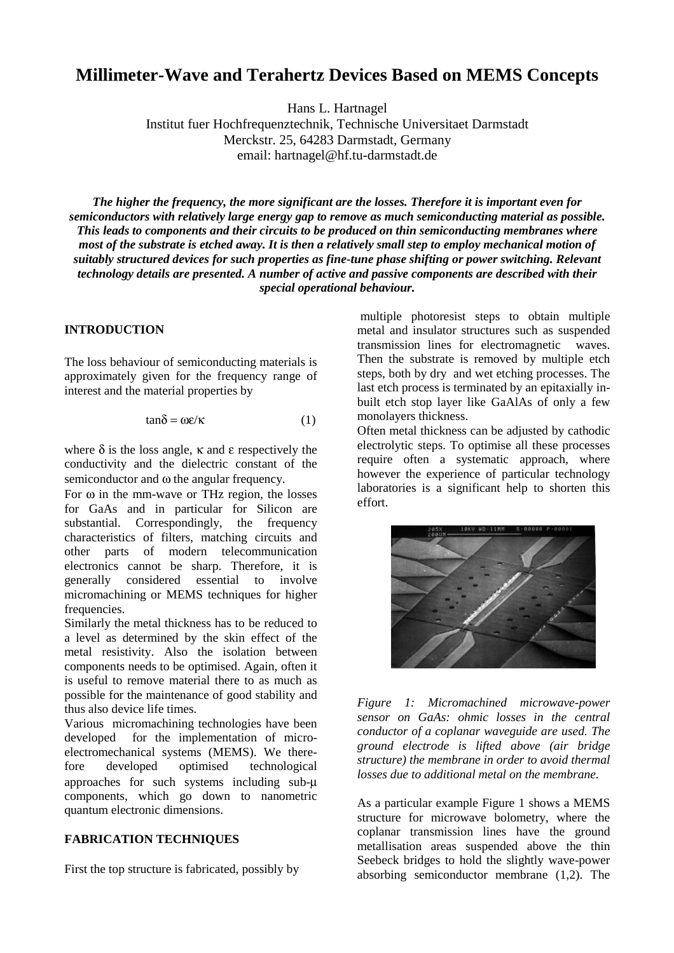# **Millimeter-Wave and Terahertz Devices Based on MEMS Concepts**

Hans L. Hartnagel

Institut fuer Hochfrequenztechnik, Technische Universitaet Darmstadt Merckstr. 25, 64283 Darmstadt, Germany email: hartnagel@hf.tu-darmstadt.de

*The higher the frequency, the more significant are the losses. Therefore it is important even for semiconductors with relatively large energy gap to remove as much semiconducting material as possible. This leads to components and their circuits to be produced on thin semiconducting membranes where most of the substrate is etched away. It is then a relatively small step to employ mechanical motion of suitably structured devices for such properties as fine-tune phase shifting or power switching. Relevant technology details are presented. A number of active and passive components are described with their special operational behaviour.*

## **INTRODUCTION**

The loss behaviour of semiconducting materials is approximately given for the frequency range of interest and the material properties by

$$
tan\delta = \omega \varepsilon/\kappa \tag{1}
$$

where  $\delta$  is the loss angle,  $\kappa$  and  $\epsilon$  respectively the conductivity and the dielectric constant of the semiconductor and ω the angular frequency.

For  $\omega$  in the mm-wave or THz region, the losses for GaAs and in particular for Silicon are substantial. Correspondingly, the frequency characteristics of filters, matching circuits and other parts of modern telecommunication electronics cannot be sharp. Therefore, it is generally considered essential to involve micromachining or MEMS techniques for higher frequencies.

Similarly the metal thickness has to be reduced to a level as determined by the skin effect of the metal resistivity. Also the isolation between components needs to be optimised. Again, often it is useful to remove material there to as much as possible for the maintenance of good stability and thus also device life times.

Various micromachining technologies have been developed for the implementation of microelectromechanical systems (MEMS). We therefore developed optimised technological approaches for such systems including sub-µ components, which go down to nanometric quantum electronic dimensions.

## **FABRICATION TECHNIQUES**

First the top structure is fabricated, possibly by

 multiple photoresist steps to obtain multiple metal and insulator structures such as suspended transmission lines for electromagnetic waves. Then the substrate is removed by multiple etch steps, both by dry and wet etching processes. The last etch process is terminated by an epitaxially inbuilt etch stop layer like GaAlAs of only a few monolayers thickness.

Often metal thickness can be adjusted by cathodic electrolytic steps. To optimise all these processes require often a systematic approach, where however the experience of particular technology laboratories is a significant help to shorten this effort.



*Figure 1: Micromachined microwave-power sensor on GaAs: ohmic losses in the central conductor of a coplanar waveguide are used. The ground electrode is lifted above (air bridge structure) the membrane in order to avoid thermal losses due to additional metal on the membrane.*

As a particular example Figure 1 shows a MEMS structure for microwave bolometry, where the coplanar transmission lines have the ground metallisation areas suspended above the thin Seebeck bridges to hold the slightly wave-power absorbing semiconductor membrane (1,2). The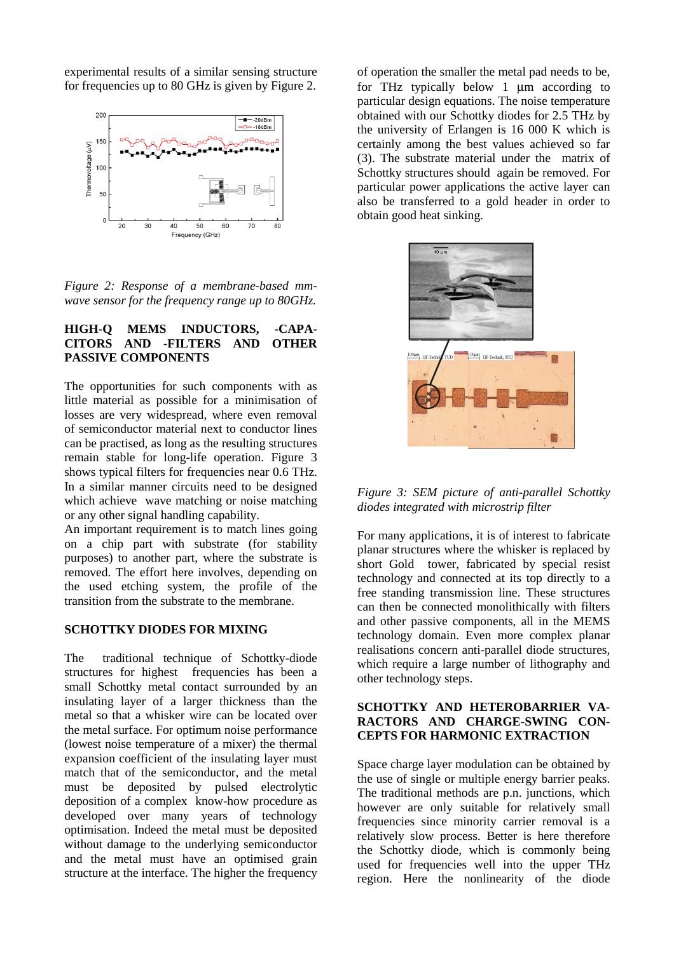experimental results of a similar sensing structure for frequencies up to 80 GHz is given by Figure 2.



*Figure 2: Response of a membrane-based mmwave sensor for the frequency range up to 80GHz.*

#### **HIGH-Q MEMS INDUCTORS, -CAPA-CITORS AND -FILTERS AND OTHER PASSIVE COMPONENTS**

The opportunities for such components with as little material as possible for a minimisation of losses are very widespread, where even removal of semiconductor material next to conductor lines can be practised, as long as the resulting structures remain stable for long-life operation. Figure 3 shows typical filters for frequencies near 0.6 THz. In a similar manner circuits need to be designed which achieve wave matching or noise matching or any other signal handling capability.

An important requirement is to match lines going on a chip part with substrate (for stability purposes) to another part, where the substrate is removed. The effort here involves, depending on the used etching system, the profile of the transition from the substrate to the membrane.

#### **SCHOTTKY DIODES FOR MIXING**

The traditional technique of Schottky-diode structures for highest frequencies has been a small Schottky metal contact surrounded by an insulating layer of a larger thickness than the metal so that a whisker wire can be located over the metal surface. For optimum noise performance (lowest noise temperature of a mixer) the thermal expansion coefficient of the insulating layer must match that of the semiconductor, and the metal must be deposited by pulsed electrolytic deposition of a complex know-how procedure as developed over many years of technology optimisation. Indeed the metal must be deposited without damage to the underlying semiconductor and the metal must have an optimised grain structure at the interface. The higher the frequency

of operation the smaller the metal pad needs to be, for THz typically below 1 µm according to particular design equations. The noise temperature obtained with our Schottky diodes for 2.5 THz by the university of Erlangen is 16 000 K which is certainly among the best values achieved so far (3). The substrate material under the matrix of Schottky structures should again be removed. For particular power applications the active layer can also be transferred to a gold header in order to obtain good heat sinking.





For many applications, it is of interest to fabricate planar structures where the whisker is replaced by short Gold tower, fabricated by special resist technology and connected at its top directly to a free standing transmission line. These structures can then be connected monolithically with filters and other passive components, all in the MEMS technology domain. Even more complex planar realisations concern anti-parallel diode structures, which require a large number of lithography and other technology steps.

## **SCHOTTKY AND HETEROBARRIER VA-RACTORS AND CHARGE-SWING CON-CEPTS FOR HARMONIC EXTRACTION**

Space charge layer modulation can be obtained by the use of single or multiple energy barrier peaks. The traditional methods are p.n. junctions, which however are only suitable for relatively small frequencies since minority carrier removal is a relatively slow process. Better is here therefore the Schottky diode, which is commonly being used for frequencies well into the upper THz region. Here the nonlinearity of the diode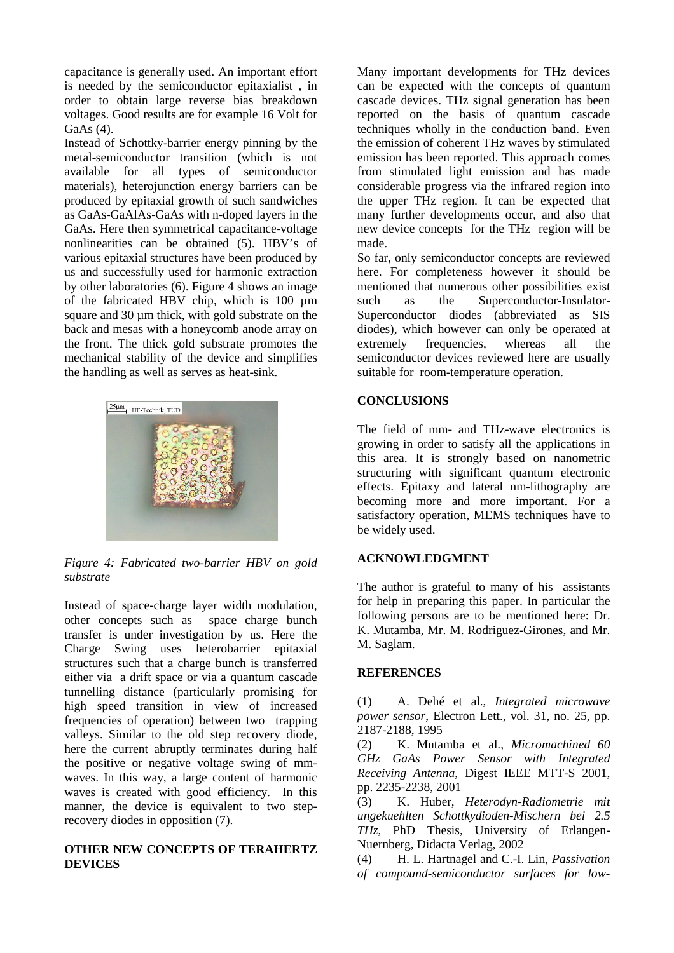capacitance is generally used. An important effort is needed by the semiconductor epitaxialist , in order to obtain large reverse bias breakdown voltages. Good results are for example 16 Volt for GaAs (4).

Instead of Schottky-barrier energy pinning by the metal-semiconductor transition (which is not available for all types of semiconductor materials), heterojunction energy barriers can be produced by epitaxial growth of such sandwiches as GaAs-GaAlAs-GaAs with n-doped layers in the GaAs. Here then symmetrical capacitance-voltage nonlinearities can be obtained (5). HBV's of various epitaxial structures have been produced by us and successfully used for harmonic extraction by other laboratories (6). Figure 4 shows an image of the fabricated HBV chip, which is 100 µm square and 30  $\mu$ m thick, with gold substrate on the back and mesas with a honeycomb anode array on the front. The thick gold substrate promotes the mechanical stability of the device and simplifies the handling as well as serves as heat-sink.



*Figure 4: Fabricated two-barrier HBV on gold substrate*

Instead of space-charge layer width modulation, other concepts such as space charge bunch transfer is under investigation by us. Here the Charge Swing uses heterobarrier epitaxial structures such that a charge bunch is transferred either via a drift space or via a quantum cascade tunnelling distance (particularly promising for high speed transition in view of increased frequencies of operation) between two trapping valleys. Similar to the old step recovery diode, here the current abruptly terminates during half the positive or negative voltage swing of mmwaves. In this way, a large content of harmonic waves is created with good efficiency. In this manner, the device is equivalent to two steprecovery diodes in opposition (7).

#### **OTHER NEW CONCEPTS OF TERAHERTZ DEVICES**

Many important developments for THz devices can be expected with the concepts of quantum cascade devices. THz signal generation has been reported on the basis of quantum cascade techniques wholly in the conduction band. Even the emission of coherent THz waves by stimulated emission has been reported. This approach comes from stimulated light emission and has made considerable progress via the infrared region into the upper THz region. It can be expected that many further developments occur, and also that new device concepts for the THz region will be made.

So far, only semiconductor concepts are reviewed here. For completeness however it should be mentioned that numerous other possibilities exist such as the Superconductor-Insulator-Superconductor diodes (abbreviated as SIS diodes), which however can only be operated at extremely frequencies, whereas all the semiconductor devices reviewed here are usually suitable for room-temperature operation.

## **CONCLUSIONS**

The field of mm- and THz-wave electronics is growing in order to satisfy all the applications in this area. It is strongly based on nanometric structuring with significant quantum electronic effects. Epitaxy and lateral nm-lithography are becoming more and more important. For a satisfactory operation, MEMS techniques have to be widely used.

## **ACKNOWLEDGMENT**

The author is grateful to many of his assistants for help in preparing this paper. In particular the following persons are to be mentioned here: Dr. K. Mutamba, Mr. M. Rodriguez-Girones, and Mr. M. Saglam.

#### **REFERENCES**

(1) A. Dehé et al., *Integrated microwave power sensor*, Electron Lett., vol. 31, no. 25, pp. 2187-2188, 1995

(2) K. Mutamba et al., *Micromachined 60 GHz GaAs Power Sensor with Integrated Receiving Antenna*, Digest IEEE MTT-S 2001, pp. 2235-2238, 2001

(3) K. Huber, *Heterodyn-Radiometrie mit ungekuehlten Schottkydioden-Mischern bei 2.5 THz*, PhD Thesis, University of Erlangen-Nuernberg, Didacta Verlag, 2002

(4) H. L. Hartnagel and C.-I. Lin, *Passivation of compound-semiconductor surfaces for low-*